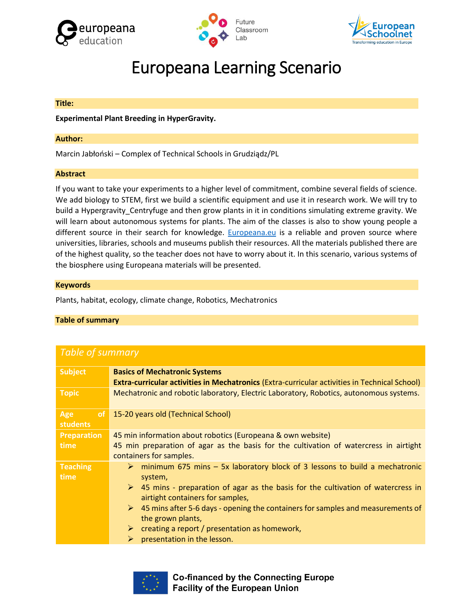





# Europeana Learning Scenario

#### **Title:**

**Experimental Plant Breeding in HyperGravity.**

### **Author:**

Marcin Jabłoński – Complex of Technical Schools in Grudziądz/PL

#### **Abstract**

If you want to take your experiments to a higher level of commitment, combine several fields of science. We add biology to STEM, first we build a scientific equipment and use it in research work. We will try to build a Hypergravity\_Centryfuge and then grow plants in it in conditions simulating extreme gravity. We will learn about autonomous systems for plants. The aim of the classes is also to show young people a different source in their search for knowledge. [Europeana.eu](https://www.europeana.eu/en) is a reliable and proven source where universities, libraries, schools and museums publish their resources. All the materials published there are of the highest quality, so the teacher does not have to worry about it. In this scenario, various systems of the biosphere using Europeana materials will be presented.

#### **Keywords**

Plants, habitat, ecology, climate change, Robotics, Mechatronics

## **Table of summary**

| <b>Table of summary</b>                 |                                                                                                                                                                                                                                                                                                                                                                                                                                                                                              |  |  |  |
|-----------------------------------------|----------------------------------------------------------------------------------------------------------------------------------------------------------------------------------------------------------------------------------------------------------------------------------------------------------------------------------------------------------------------------------------------------------------------------------------------------------------------------------------------|--|--|--|
| <b>Subject</b>                          | <b>Basics of Mechatronic Systems</b><br><b>Extra-curricular activities in Mechatronics (Extra-curricular activities in Technical School)</b>                                                                                                                                                                                                                                                                                                                                                 |  |  |  |
| <b>Topic</b>                            | Mechatronic and robotic laboratory, Electric Laboratory, Robotics, autonomous systems.                                                                                                                                                                                                                                                                                                                                                                                                       |  |  |  |
| <sub>of</sub><br>Age<br><b>students</b> | 15-20 years old (Technical School)                                                                                                                                                                                                                                                                                                                                                                                                                                                           |  |  |  |
| <b>Preparation</b><br>time              | 45 min information about robotics (Europeana & own website)<br>45 min preparation of agar as the basis for the cultivation of watercress in airtight<br>containers for samples.                                                                                                                                                                                                                                                                                                              |  |  |  |
| <b>Teaching</b><br>time                 | ighthrow minimum 675 mins $-$ 5x laboratory block of 3 lessons to build a mechatronic<br>system,<br>45 mins - preparation of agar as the basis for the cultivation of watercress in<br>$\triangleright$<br>airtight containers for samples,<br>$\triangleright$ 45 mins after 5-6 days - opening the containers for samples and measurements of<br>the grown plants,<br>creating a report / presentation as homework,<br>$\triangleright$<br>presentation in the lesson.<br>$\triangleright$ |  |  |  |



**Co-financed by the Connecting Europe Facility of the European Union**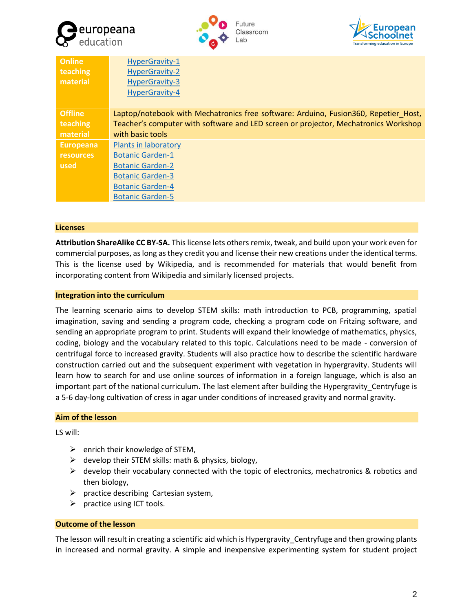





| <b>Online</b>    | HyperGravity-1                                                                      |
|------------------|-------------------------------------------------------------------------------------|
| teaching         | HyperGravity-2                                                                      |
| material         | HyperGravity-3                                                                      |
|                  | HyperGravity-4                                                                      |
|                  |                                                                                     |
| <b>Offline</b>   | Laptop/notebook with Mechatronics free software: Arduino, Fusion360, Repetier Host, |
| teaching         | Teacher's computer with software and LED screen or projector, Mechatronics Workshop |
| material         | with basic tools                                                                    |
| <b>Europeana</b> | Plants in laboratory                                                                |
| <b>resources</b> | <b>Botanic Garden-1</b>                                                             |
| used             | <b>Botanic Garden-2</b>                                                             |
|                  | <b>Botanic Garden-3</b>                                                             |
|                  | <b>Botanic Garden-4</b>                                                             |
|                  | <b>Botanic Garden-5</b>                                                             |
|                  |                                                                                     |

#### **Licenses**

**Attribution ShareAlike CC BY-SA.** This license lets others remix, tweak, and build upon your work even for commercial purposes, as long as they credit you and license their new creations under the identical terms. This is the license used by Wikipedia, and is recommended for materials that would benefit from incorporating content from Wikipedia and similarly licensed projects.

#### **Integration into the curriculum**

The learning scenario aims to develop STEM skills: math introduction to PCB, programming, spatial imagination, saving and sending a program code, checking a program code on Fritzing software, and sending an appropriate program to print. Students will expand their knowledge of mathematics, physics, coding, biology and the vocabulary related to this topic. Calculations need to be made - conversion of centrifugal force to increased gravity. Students will also practice how to describe the scientific hardware construction carried out and the subsequent experiment with vegetation in hypergravity. Students will learn how to search for and use online sources of information in a foreign language, which is also an important part of the national curriculum. The last element after building the Hypergravity Centryfuge is a 5-6 day-long cultivation of cress in agar under conditions of increased gravity and normal gravity.

## **Aim of the lesson**

LS will:

- $\triangleright$  enrich their knowledge of STEM,
- $\triangleright$  develop their STEM skills: math & physics, biology,
- $\triangleright$  develop their vocabulary connected with the topic of electronics, mechatronics & robotics and then biology,
- $\triangleright$  practice describing Cartesian system,
- $\triangleright$  practice using ICT tools.

## **Outcome of the lesson**

The lesson will result in creating a scientific aid which is Hypergravity Centryfuge and then growing plants in increased and normal gravity. A simple and inexpensive experimenting system for student project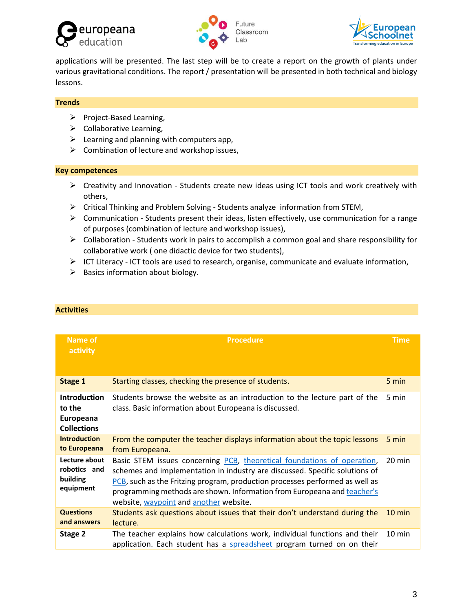





applications will be presented. The last step will be to create a report on the growth of plants under various gravitational conditions. The report / presentation will be presented in both technical and biology lessons.

# **Trends**

- ➢ Project-Based Learning,
- $\triangleright$  Collaborative Learning,
- $\triangleright$  Learning and planning with computers app,
- $\triangleright$  Combination of lecture and workshop issues,

# **Key competences**

- $\triangleright$  Creativity and Innovation Students create new ideas using ICT tools and work creatively with others,
- ➢ Critical Thinking and Problem Solving Students analyze information from STEM,
- $\triangleright$  Communication Students present their ideas, listen effectively, use communication for a range of purposes (combination of lecture and workshop issues),
- $\triangleright$  Collaboration Students work in pairs to accomplish a common goal and share responsibility for collaborative work ( one didactic device for two students),
- ➢ ICT Literacy ICT tools are used to research, organise, communicate and evaluate information,
- $\triangleright$  Basics information about biology.

| Name of<br>activity                                              | <b>Procedure</b>                                                                                                                                                                                                                                                                                                                                            | <b>Time</b>      |
|------------------------------------------------------------------|-------------------------------------------------------------------------------------------------------------------------------------------------------------------------------------------------------------------------------------------------------------------------------------------------------------------------------------------------------------|------------------|
| <b>Stage 1</b>                                                   | Starting classes, checking the presence of students.                                                                                                                                                                                                                                                                                                        | 5 min            |
| <b>Introduction</b><br>to the<br>Europeana<br><b>Collections</b> | Students browse the website as an introduction to the lecture part of the<br>class. Basic information about Europeana is discussed.                                                                                                                                                                                                                         | 5 min            |
| <b>Introduction</b><br>to Europeana                              | From the computer the teacher displays information about the topic lessons<br>from Europeana.                                                                                                                                                                                                                                                               | 5 min            |
| Lecture about<br>robotics and<br>building<br>equipment           | Basic STEM issues concerning PCB, theoretical foundations of operation,<br>schemes and implementation in industry are discussed. Specific solutions of<br>PCB, such as the Fritzing program, production processes performed as well as<br>programming methods are shown. Information from Europeana and teacher's<br>website, waypoint and another website. | 20 min           |
| <b>Questions</b><br>and answers                                  | Students ask questions about issues that their don't understand during the<br>lecture.                                                                                                                                                                                                                                                                      | $10 \text{ min}$ |
| Stage 2                                                          | The teacher explains how calculations work, individual functions and their<br>application. Each student has a spreadsheet program turned on on their                                                                                                                                                                                                        | $10 \text{ min}$ |

# **Activities**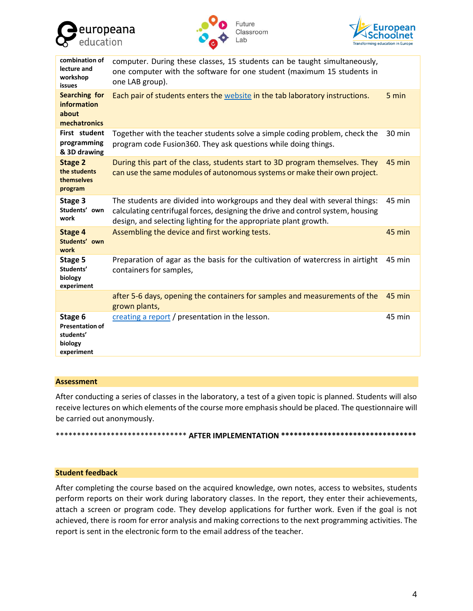





| combination of<br>lecture and<br>workshop<br>issues                     | computer. During these classes, 15 students can be taught simultaneously,<br>one computer with the software for one student (maximum 15 students in<br>one LAB group).                                                             |        |
|-------------------------------------------------------------------------|------------------------------------------------------------------------------------------------------------------------------------------------------------------------------------------------------------------------------------|--------|
| <b>Searching for</b><br><b>information</b><br>about<br>mechatronics     | Each pair of students enters the website in the tab laboratory instructions.                                                                                                                                                       | 5 min  |
| First student<br>programming<br>& 3D drawing                            | Together with the teacher students solve a simple coding problem, check the<br>program code Fusion360. They ask questions while doing things.                                                                                      | 30 min |
| <b>Stage 2</b><br>the students<br>themselves<br>program                 | During this part of the class, students start to 3D program themselves. They<br>can use the same modules of autonomous systems or make their own project.                                                                          | 45 min |
| Stage 3<br>Students' own<br>work                                        | The students are divided into workgroups and they deal with several things:<br>calculating centrifugal forces, designing the drive and control system, housing<br>design, and selecting lighting for the appropriate plant growth. | 45 min |
| <b>Stage 4</b><br>Students' own<br>work                                 | Assembling the device and first working tests.                                                                                                                                                                                     | 45 min |
| Stage 5<br>Students'<br>biology<br>experiment                           | Preparation of agar as the basis for the cultivation of watercress in airtight<br>containers for samples,                                                                                                                          | 45 min |
|                                                                         | after 5-6 days, opening the containers for samples and measurements of the<br>grown plants,                                                                                                                                        | 45 min |
| Stage 6<br><b>Presentation of</b><br>students'<br>biology<br>experiment | creating a report / presentation in the lesson.                                                                                                                                                                                    | 45 min |

#### **Assessment**

After conducting a series of classes in the laboratory, a test of a given topic is planned. Students will also receive lectures on which elements of the course more emphasis should be placed. The questionnaire will be carried out anonymously.

## \*\*\*\*\*\*\*\*\*\*\*\*\*\*\*\*\*\*\*\*\*\*\*\*\*\*\*\*\*\*\* **AFTER IMPLEMENTATION \*\*\*\*\*\*\*\*\*\*\*\*\*\*\*\*\*\*\*\*\*\*\*\*\*\*\*\*\*\*\*\***

## **Student feedback**

After completing the course based on the acquired knowledge, own notes, access to websites, students perform reports on their work during laboratory classes. In the report, they enter their achievements, attach a screen or program code. They develop applications for further work. Even if the goal is not achieved, there is room for error analysis and making corrections to the next programming activities. The report is sent in the electronic form to the email address of the teacher.